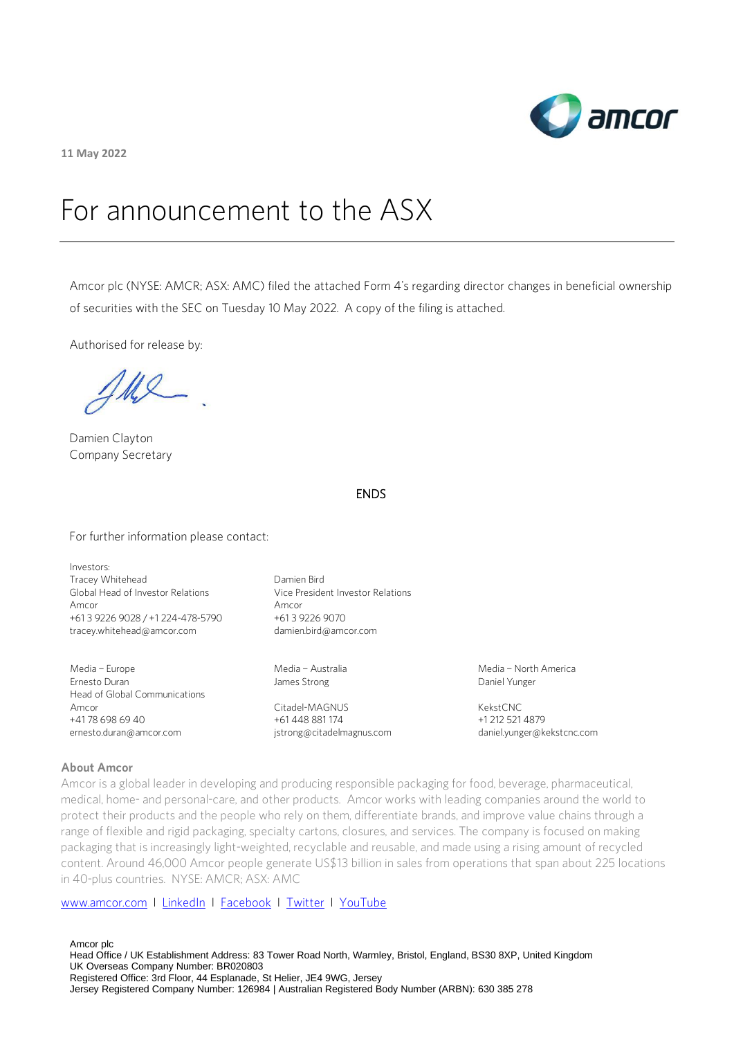

**11 May 2022**

# For announcement to the ASX

Amcor plc (NYSE: AMCR; ASX: AMC) filed the attached Form 4's regarding director changes in beneficial ownership of securities with the SEC on Tuesday 10 May 2022. A copy of the filing is attached.

Authorised for release by:

Ul

Damien Clayton Company Secretary

# ENDS

For further information please contact:

Investors: Tracey Whitehead Global Head of Investor Relations Amcor +61 3 9226 9028 / +1 224-478-5790 [tracey.whitehead@amcor.com](mailto:tracey.whitehead@amcor.com)

Media – Europe Ernesto Duran Head of Global Communications Amcor +41 78 698 69 40 ernesto.duran@amcor.com

Damien Bird Vice President Investor Relations Amcor +61 3 9226 9070 damien.bird@amcor.com

Media – Australia James Strong

Citadel-MAGNUS +61 448 881 174 [jstrong@citadelmagnus.com](mailto:jstrong@citadelmagnus.com)  Media – North America Daniel Yunger

KekstCNC +1 212 521 4879 [daniel.yunger@kekstcnc.com](mailto:daniel.yunger@kekstcnc.com) 

#### **About Amcor**

Amcor is a global leader in developing and producing responsible packaging for food, beverage, pharmaceutical, medical, home- and personal-care, and other products. Amcor works with leading companies around the world to protect their products and the people who rely on them, differentiate brands, and improve value chains through a range of flexible and rigid packaging, specialty cartons, closures, and services. The company is focused on making packaging that is increasingly light-weighted, recyclable and reusable, and made using a rising amount of recycled content. Around 46,000 Amcor people generate US\$13 billion in sales from operations that span about 225 locations in 40-plus countries. NYSE: AMCR; ASX: AMC

### [www.amcor.com](http://www.amcor.com/) I [LinkedIn](https://www.linkedin.com/company/6311/admin/) I [Facebook](https://www.facebook.com/amcorlimited/) I [Twitter](https://twitter.com/amcorpackaging) I [YouTube](https://www.youtube.com/user/AmcorPackaging)

Amcor plc Head Office / UK Establishment Address: 83 Tower Road North, Warmley, Bristol, England, BS30 8XP, United Kingdom UK Overseas Company Number: BR020803 Registered Office: 3rd Floor, 44 Esplanade, St Helier, JE4 9WG, Jersey Jersey Registered Company Number: 126984 | Australian Registered Body Number (ARBN): 630 385 278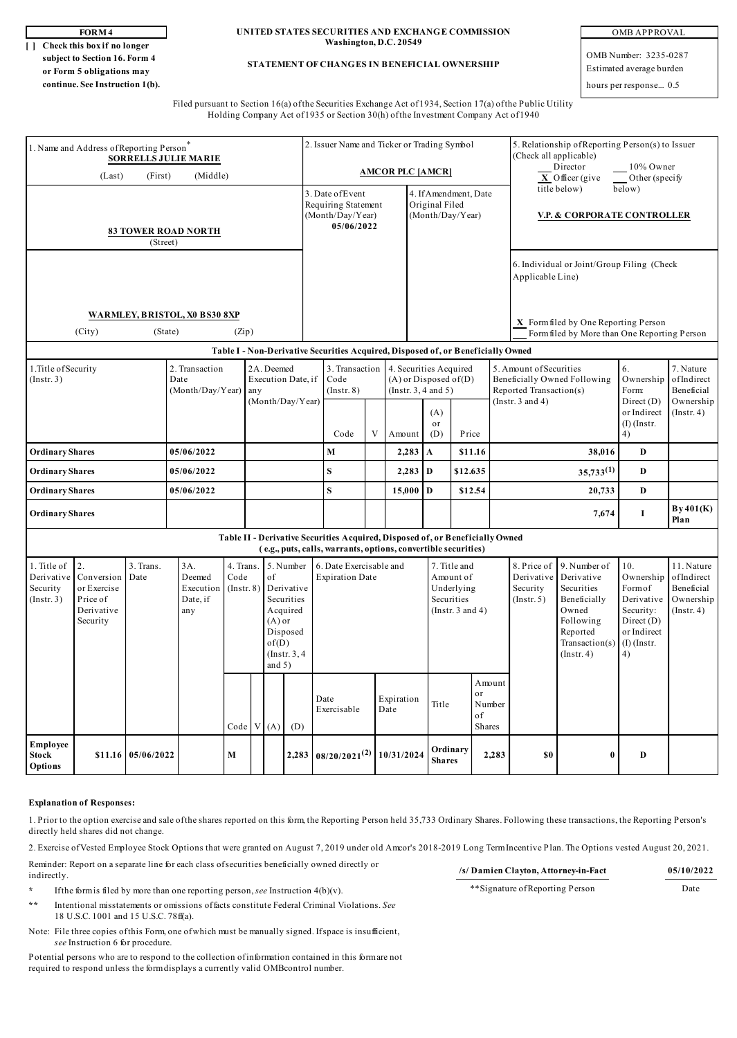**[ ] Check this box if no longer subject to Section 16. Form 4 or Form 5 obligations may continue. See Instruction 1(b).**

**FORM 4 UNITED STATES SECURITIES AND EXCHANGE COMMISSION Washington, D.C. 20549**

#### **STATEMENT OF CHANGES IN BENEFICIAL OWNERSHIP**

OMB APPROVAL

OMB Number: 3235-0287 Estimated average burden

hours per response... 0.5

Filed pursuant to Section 16(a) of the Securities Exchange Act of 1934, Section 17(a) of the Public Utility Holding Company Act of 1935 or Section 30(h) of the Investment Company Act of 1940

| 1. Name and Address of Reporting Person<br><b>SORRELLS JULIE MARIE</b>                                                                          |                                                                       |                        |                                                                                                                                                                    |                                      |                                                                                                                           |              |                                                        | 2. Issuer Name and Ticker or Trading Symbol                                                          |       |                                                                                                            |          |                                                             |                                                                            |                                                                                                                         |                                                                                      | 5. Relationship of Reporting Person(s) to Issuer<br>(Check all applicable)<br>Director<br>10% Owner                                                                                |                                                                                                           |                                                                         |  |
|-------------------------------------------------------------------------------------------------------------------------------------------------|-----------------------------------------------------------------------|------------------------|--------------------------------------------------------------------------------------------------------------------------------------------------------------------|--------------------------------------|---------------------------------------------------------------------------------------------------------------------------|--------------|--------------------------------------------------------|------------------------------------------------------------------------------------------------------|-------|------------------------------------------------------------------------------------------------------------|----------|-------------------------------------------------------------|----------------------------------------------------------------------------|-------------------------------------------------------------------------------------------------------------------------|--------------------------------------------------------------------------------------|------------------------------------------------------------------------------------------------------------------------------------------------------------------------------------|-----------------------------------------------------------------------------------------------------------|-------------------------------------------------------------------------|--|
| (Middle)<br>(Last)<br>(First)<br><b>83 TOWER ROAD NORTH</b><br>(Street)                                                                         |                                                                       |                        |                                                                                                                                                                    |                                      |                                                                                                                           |              |                                                        | <b>AMCOR PLC [AMCR]</b><br>3. Date of Event<br>Requiring Statement<br>(Month/Day/Year)<br>05/06/2022 |       |                                                                                                            |          | 4. If Amendment, Date<br>Original Filed<br>(Month/Day/Year) |                                                                            |                                                                                                                         |                                                                                      | $\overline{\mathbf{X}}$ Officer (give<br>Other (specify<br>title below)<br>below)<br>V.P. & CORPORATE CONTROLLER<br>6. Individual or Joint/Group Filing (Check<br>Applicable Line) |                                                                                                           |                                                                         |  |
| WARMLEY, BRISTOL, X0 BS30 8XP<br>(City)<br>(State)<br>(Zip)                                                                                     |                                                                       |                        |                                                                                                                                                                    |                                      |                                                                                                                           |              |                                                        |                                                                                                      |       |                                                                                                            |          |                                                             |                                                                            |                                                                                                                         | X Form filed by One Reporting Person<br>Form filed by More than One Reporting Person |                                                                                                                                                                                    |                                                                                                           |                                                                         |  |
| 1. Title of Security<br>$($ Instr. 3 $)$                                                                                                        |                                                                       | 2. Transaction<br>Date | Table I - Non-Derivative Securities Acquired, Disposed of, or Beneficially Owned<br>2A. Deemed<br>Execution Date, if<br>$(Month/Day/Year)$ any<br>(Month/Day/Year) |                                      |                                                                                                                           |              | 3. Transaction<br>Code<br>$($ Instr. $8)$<br>Code<br>V |                                                                                                      |       | 4. Securities Acquired<br>$(A)$ or Disposed of $(D)$<br>(Insert. 3, 4 and 5)<br>(A)<br>or<br>Amount<br>(D) |          | Price                                                       |                                                                            | 6.<br>5. Amount of Securities<br>Beneficially Owned Following<br>Reported Transaction(s)<br>(Instr. $3$ and $4$ )<br>4) |                                                                                      | Ownership<br>Form:<br>Direct (D)<br>or Indirect<br>$(I)$ (Instr.                                                                                                                   | 7. Nature<br>ofIndirect<br>Beneficial<br>Ownership<br>$($ Instr. 4 $)$                                    |                                                                         |  |
| <b>Ordinary Shares</b>                                                                                                                          |                                                                       |                        | 05/06/2022                                                                                                                                                         |                                      |                                                                                                                           |              | M                                                      |                                                                                                      | 2,283 |                                                                                                            | A        | \$11.16                                                     |                                                                            |                                                                                                                         | 38,016                                                                               | $\mathbf{D}$                                                                                                                                                                       |                                                                                                           |                                                                         |  |
| <b>Ordinary Shares</b>                                                                                                                          |                                                                       | 05/06/2022             |                                                                                                                                                                    |                                      |                                                                                                                           | S            |                                                        | 2,283                                                                                                |       | $\mathbf{D}$                                                                                               | \$12.635 |                                                             | $35,733^{(1)}$                                                             |                                                                                                                         | $\mathbf D$                                                                          |                                                                                                                                                                                    |                                                                                                           |                                                                         |  |
| <b>Ordinary Shares</b>                                                                                                                          |                                                                       | 05/06/2022             |                                                                                                                                                                    |                                      |                                                                                                                           | $\mathbf{s}$ |                                                        | $15,000$ D                                                                                           |       |                                                                                                            | \$12.54  |                                                             |                                                                            | 20,733                                                                                                                  | $\mathbf{D}$                                                                         |                                                                                                                                                                                    |                                                                                                           |                                                                         |  |
| <b>Ordinary Shares</b>                                                                                                                          |                                                                       |                        |                                                                                                                                                                    |                                      |                                                                                                                           |              |                                                        |                                                                                                      |       |                                                                                                            |          |                                                             |                                                                            |                                                                                                                         | 7,674                                                                                | $\bf{I}$                                                                                                                                                                           | By 401(K)<br>Plan                                                                                         |                                                                         |  |
| Table II - Derivative Securities Acquired, Disposed of, or Beneficially Owned<br>(e.g., puts, calls, warrants, options, convertible securities) |                                                                       |                        |                                                                                                                                                                    |                                      |                                                                                                                           |              |                                                        |                                                                                                      |       |                                                                                                            |          |                                                             |                                                                            |                                                                                                                         |                                                                                      |                                                                                                                                                                                    |                                                                                                           |                                                                         |  |
| 1. Title of<br>Derivative<br>Security<br>$($ Instr. 3 $)$                                                                                       | 2.<br>Conversion<br>or Exercise<br>Price of<br>Derivative<br>Security | 3. Trans.<br>Date      | 3A.<br>Deemed<br>Execution<br>Date, if<br>any                                                                                                                      | 4. Trans.<br>Code<br>$($ Instr. $8)$ | 5. Number<br>of<br>Derivative<br>Securities<br>Acquired<br>$(A)$ or<br>Disposed<br>of(D)<br>$($ Instr. $3, 4$<br>and $5)$ |              |                                                        | 6. Date Exercisable and<br><b>Expiration Date</b>                                                    |       |                                                                                                            |          |                                                             | 7. Title and<br>Amount of<br>Underlying<br>Securities<br>(Insert. 3 and 4) |                                                                                                                         | 8. Price of<br>Derivative<br>Security<br>$($ Instr. 5 $)$                            | 9. Number of<br>Derivative<br>Securities<br>Beneficially<br>Owned<br>Following<br>Reported<br>Transaction(s)<br>$($ Instr. 4 $)$                                                   | 10.<br>Ownership<br>Formof<br>Derivative<br>Security:<br>Direct (D)<br>or Indirect<br>$(I)$ (Instr.<br>4) | 11. Nature<br>ofIndirect<br>Beneficial<br>Ownership<br>$($ Instr. 4 $)$ |  |
|                                                                                                                                                 |                                                                       |                        |                                                                                                                                                                    | Code  V  (A)                         |                                                                                                                           |              | (D)                                                    | Date<br>Exercisable                                                                                  |       | Expiration<br>Date                                                                                         |          | Title                                                       |                                                                            | Amount<br>or<br>Number<br>of<br>Shares                                                                                  |                                                                                      |                                                                                                                                                                                    |                                                                                                           |                                                                         |  |
| Employee<br><b>Stock</b><br>Options                                                                                                             | \$11.16                                                               | 05/06/2022             |                                                                                                                                                                    | M                                    |                                                                                                                           |              | 2,283                                                  | $\frac{1}{08/20/2021^{(2)}}$ 10/31/2024                                                              |       |                                                                                                            |          | Ordinary<br><b>Shares</b>                                   |                                                                            | 2,283                                                                                                                   | \$0                                                                                  | $\bf{0}$                                                                                                                                                                           | D                                                                                                         |                                                                         |  |

#### **Explanation of Responses:**

1. Prior to the option exercise and sale of the shares reported on this form, the Reporting Person held 35,733 Ordinary Shares. Following these transactions, the Reporting Person's directly held shares did not change.

2. Exercise of Vested Employee Stock Options that were granted on August 7, 2019 under old Amcor's 2018-2019 Long Term Incentive Plan. The Options vested August 20, 2021.

Reminder: Report on a separate line for each class of securities beneficially owned directly or indirectly.

**\*** If the form is filed by more than one reporting person, *see* Instruction 4(b)(v).

**\*\*** Intentional misstatements or omissions of facts constitute Federal Criminal Violations. *See* 18 U.S.C. 1001 and 15 U.S.C. 78ff(a).

Note: File three copies of this Form, one of which must be manually signed. If space is insufficient, *see* Instruction 6 for procedure.

Potential persons who are to respond to the collection of information contained in this form are not required to respond unless the form displays a currently valid OMBcontrol number.

# **/s/ Damien Clayton, Attorney-in-Fact 05/10/2022**

\*\*Signature of Reporting Person Date